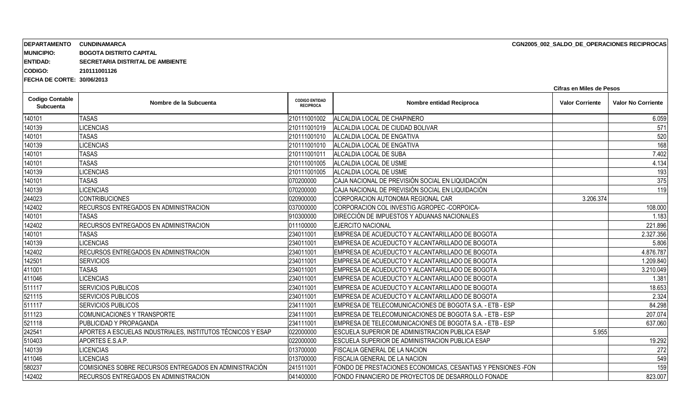| <b>MUNICIPIO:</b><br><b>ENTIDAD:</b>       | <b>BOGOTA DISTRITO CAPITAL</b><br>SECRETARIA DISTRITAL DE AMBIENTE<br>210111001126 |                                           |                                                               |                        |                           |  |  |  |
|--------------------------------------------|------------------------------------------------------------------------------------|-------------------------------------------|---------------------------------------------------------------|------------------------|---------------------------|--|--|--|
| <b>CODIGO:</b>                             |                                                                                    |                                           |                                                               |                        |                           |  |  |  |
| <b>IFECHA DE CORTE: 30/06/2013</b>         | Cifras en Miles de Pesos                                                           |                                           |                                                               |                        |                           |  |  |  |
| <b>Codigo Contable</b><br><b>Subcuenta</b> | Nombre de la Subcuenta                                                             | <b>CODIGO ENTIDAD</b><br><b>RECIPROCA</b> | Nombre entidad Reciproca                                      | <b>Valor Corriente</b> | <b>Valor No Corriente</b> |  |  |  |
| 140101                                     | <b>TASAS</b>                                                                       | 210111001002                              | ALCALDIA LOCAL DE CHAPINERO                                   |                        | 6.059                     |  |  |  |
| 140139                                     | <b>LICENCIAS</b>                                                                   | 210111001019                              | ALCALDIA LOCAL DE CIUDAD BOLIVAR                              |                        | 571                       |  |  |  |
| 140101                                     | <b>TASAS</b>                                                                       | 210111001010                              | ALCALDIA LOCAL DE ENGATIVA                                    |                        | 520                       |  |  |  |
| 140139                                     | <b>LICENCIAS</b>                                                                   | 210111001010                              | ALCALDIA LOCAL DE ENGATIVA                                    |                        | 168                       |  |  |  |
| 140101                                     | <b>TASAS</b>                                                                       | 210111001011                              | ALCALDIA LOCAL DE SUBA                                        |                        | 7.402                     |  |  |  |
| 140101                                     | <b>TASAS</b>                                                                       | 210111001005                              | ALCALDIA LOCAL DE USME                                        |                        | 4.134                     |  |  |  |
| 140139                                     | <b>LICENCIAS</b>                                                                   | 210111001005                              | ALCALDIA LOCAL DE USME                                        |                        | 193                       |  |  |  |
| 140101                                     | <b>TASAS</b>                                                                       | 070200000                                 | CAJA NACIONAL DE PREVISIÓN SOCIAL EN LIQUIDACIÓN              |                        | 375                       |  |  |  |
| 140139                                     | <b>LICENCIAS</b>                                                                   | 070200000                                 | CAJA NACIONAL DE PREVISIÓN SOCIAL EN LIQUIDACIÓN              |                        | 11 <sub>S</sub>           |  |  |  |
| 244023                                     | <b>CONTRIBUCIONES</b>                                                              | 020900000                                 | CORPORACION AUTONOMA REGIONAL CAR                             | 3.206.374              |                           |  |  |  |
| 142402                                     | RECURSOS ENTREGADOS EN ADMINISTRACION                                              | 037000000                                 | CORPORACION COL INVESTIG AGROPEC - CORPOICA-                  |                        | 108.000                   |  |  |  |
| 140101                                     | <b>TASAS</b>                                                                       | 910300000                                 | DIRECCIÓN DE IMPUESTOS Y ADUANAS NACIONALES                   |                        | 1.183                     |  |  |  |
| 142402                                     | RECURSOS ENTREGADOS EN ADMINISTRACION                                              | 011100000                                 | <b>EJERCITO NACIONAL</b>                                      |                        | 221.896                   |  |  |  |
| 140101                                     | <b>TASAS</b>                                                                       | 234011001                                 | EMPRESA DE ACUEDUCTO Y ALCANTARILLADO DE BOGOTA               |                        | 2.327.356                 |  |  |  |
| 140139                                     | <b>LICENCIAS</b>                                                                   | 234011001                                 | EMPRESA DE ACUEDUCTO Y ALCANTARILLADO DE BOGOTA               |                        | 5.806                     |  |  |  |
| 142402                                     | RECURSOS ENTREGADOS EN ADMINISTRACION                                              | 234011001                                 | EMPRESA DE ACUEDUCTO Y ALCANTARILLADO DE BOGOTA               |                        | 4.876.787                 |  |  |  |
| 142501                                     | <b>SERVICIOS</b>                                                                   | 234011001                                 | EMPRESA DE ACUEDUCTO Y ALCANTARILLADO DE BOGOTA               |                        | 1.209.840                 |  |  |  |
| 411001                                     | <b>TASAS</b>                                                                       | 234011001                                 | EMPRESA DE ACUEDUCTO Y ALCANTARILLADO DE BOGOTA               |                        | 3.210.049                 |  |  |  |
| 411046                                     | <b>LICENCIAS</b>                                                                   | 234011001                                 | EMPRESA DE ACUEDUCTO Y ALCANTARILLADO DE BOGOTA               |                        | 1.381                     |  |  |  |
| 511117                                     | SERVICIOS PUBLICOS                                                                 | 234011001                                 | EMPRESA DE ACUEDUCTO Y ALCANTARILLADO DE BOGOTA               |                        | 18.653                    |  |  |  |
| 521115                                     | SERVICIOS PUBLICOS                                                                 | 234011001                                 | EMPRESA DE ACUEDUCTO Y ALCANTARILLADO DE BOGOTA               |                        | 2.324                     |  |  |  |
| 511117                                     | SERVICIOS PUBLICOS                                                                 | 234111001                                 | EMPRESA DE TELECOMUNICACIONES DE BOGOTA S.A. - ETB - ESP      |                        | 84.298                    |  |  |  |
| 511123                                     | <b>COMUNICACIONES Y TRANSPORTE</b>                                                 | 234111001                                 | EMPRESA DE TELECOMUNICACIONES DE BOGOTA S.A. - ETB - ESP      |                        | 207.074                   |  |  |  |
| 521118                                     | PUBLICIDAD Y PROPAGANDA                                                            | 234111001                                 | EMPRESA DE TELECOMUNICACIONES DE BOGOTA S.A. - ETB - ESP      |                        | 637.060                   |  |  |  |
| 242541                                     | APORTES A ESCUELAS INDUSTRIALES, INSTITUTOS TÉCNICOS Y ESAP                        | 022000000                                 | ESCUELA SUPERIOR DE ADMINISTRACION PUBLICA ESAP               | 5.955                  |                           |  |  |  |
| 510403                                     | APORTES E.S.A.P.                                                                   | 022000000                                 | ESCUELA SUPERIOR DE ADMINISTRACION PUBLICA ESAP               |                        | 19.292                    |  |  |  |
| 140139                                     | <b>LICENCIAS</b>                                                                   | 013700000                                 | FISCALIA GENERAL DE LA NACION                                 |                        | 272                       |  |  |  |
| 411046                                     | <b>LICENCIAS</b>                                                                   | 013700000                                 | FISCALIA GENERAL DE LA NACION                                 |                        | 54 <sup>°</sup>           |  |  |  |
| 580237                                     | COMISIONES SOBRE RECURSOS ENTREGADOS EN ADMINISTRACIÓN                             | 241511001                                 | FONDO DE PRESTACIONES ECONOMICAS, CESANTIAS Y PENSIONES - FON |                        | 15 <sub>S</sub>           |  |  |  |
| 142402                                     | RECURSOS ENTREGADOS EN ADMINISTRACION                                              | 041400000                                 | FONDO FINANCIERO DE PROYECTOS DE DESARROLLO FONADE            |                        | 823.007                   |  |  |  |
|                                            |                                                                                    |                                           |                                                               |                        |                           |  |  |  |

**CGN2005\_002\_SALDO\_DE\_OPERACIONES RECIPROCAS**

**DEPARTAMENTO CUNDINAMARCA**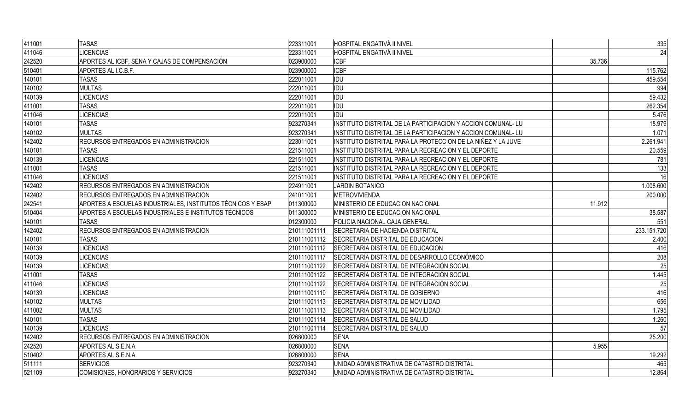| 411001 | <b>TASAS</b>                                                | 223311001    | <b>HOSPITAL ENGATIVÁ II NIVEL</b>                            |        | 335         |
|--------|-------------------------------------------------------------|--------------|--------------------------------------------------------------|--------|-------------|
| 411046 | <b>LICENCIAS</b>                                            | 223311001    | HOSPITAL ENGATIVÁ II NIVEL                                   |        | 24          |
| 242520 | APORTES AL ICBF, SENA Y CAJAS DE COMPENSACIÓN               | 023900000    | <b>ICBF</b>                                                  | 35.736 |             |
| 510401 | APORTES AL I.C.B.F.                                         | 023900000    | <b>ICBF</b>                                                  |        | 115.762     |
| 140101 | <b>TASAS</b>                                                | 222011001    | <b>IDU</b>                                                   |        | 459.554     |
| 140102 | <b>MULTAS</b>                                               | 222011001    | <b>IDU</b>                                                   |        | 994         |
| 140139 | <b>LICENCIAS</b>                                            | 222011001    | <b>IDU</b>                                                   |        | 59.432      |
| 411001 | <b>TASAS</b>                                                | 222011001    | <b>IDU</b>                                                   |        | 262.354     |
| 411046 | <b>LICENCIAS</b>                                            | 222011001    | <b>IDU</b>                                                   |        | 5.476       |
| 140101 | <b>TASAS</b>                                                | 923270341    | INSTITUTO DISTRITAL DE LA PARTICIPACION Y ACCION COMUNAL- LU |        | 18.979      |
| 140102 | <b>MULTAS</b>                                               | 923270341    | INSTITUTO DISTRITAL DE LA PARTICIPACION Y ACCION COMUNAL- LU |        | 1.071       |
| 142402 | RECURSOS ENTREGADOS EN ADMINISTRACION                       | 223011001    | INSTITUTO DISTRITAL PARA LA PROTECCION DE LA NIÑEZ Y LA JUVE |        | 2.261.941   |
| 140101 | <b>TASAS</b>                                                | 221511001    | INSTITUTO DISTRITAL PARA LA RECREACION Y EL DEPORTE          |        | 20.559      |
| 140139 | <b>LICENCIAS</b>                                            | 221511001    | INSTITUTO DISTRITAL PARA LA RECREACION Y EL DEPORTE          |        | 781         |
| 411001 | <b>TASAS</b>                                                | 221511001    | INSTITUTO DISTRITAL PARA LA RECREACION Y EL DEPORTE          |        | 133         |
| 411046 | <b>LICENCIAS</b>                                            | 221511001    | INSTITUTO DISTRITAL PARA LA RECREACION Y EL DEPORTE          |        | 16          |
| 142402 | RECURSOS ENTREGADOS EN ADMINISTRACION                       | 224911001    | JARDIN BOTANICO                                              |        | 1.008.600   |
| 142402 | RECURSOS ENTREGADOS EN ADMINISTRACION                       | 241011001    | METROVIVIENDA                                                |        | 200.000     |
| 242541 | APORTES A ESCUELAS INDUSTRIALES, INSTITUTOS TÉCNICOS Y ESAP | 011300000    | MINISTERIO DE EDUCACION NACIONAL                             | 11.912 |             |
| 510404 | APORTES A ESCUELAS INDUSTRIALES E INSTITUTOS TÉCNICOS       | 011300000    | MINISTERIO DE EDUCACION NACIONAL                             |        | 38.587      |
| 140101 | <b>TASAS</b>                                                | 012300000    | POLICIA NACIONAL CAJA GENERAL                                |        | 551         |
| 142402 | RECURSOS ENTREGADOS EN ADMINISTRACION                       | 210111001111 | <b>SECRETARIA DE HACIENDA DISTRITAL</b>                      |        | 233.151.720 |
| 140101 | <b>TASAS</b>                                                | 210111001112 | SECRETARIA DISTRITAL DE EDUCACION                            |        | 2.400       |
| 140139 | <b>LICENCIAS</b>                                            | 210111001112 | SECRETARIA DISTRITAL DE EDUCACION                            |        | 416         |
| 140139 | <b>LICENCIAS</b>                                            | 210111001117 | SECRETARÍA DISTRITAL DE DESARROLLO ECONÓMICO                 |        | 208         |
| 140139 | <b>LICENCIAS</b>                                            | 210111001122 | SECRETARÍA DISTRITAL DE INTEGRACIÓN SOCIAL                   |        | 25          |
| 411001 | <b>TASAS</b>                                                | 210111001122 | SECRETARÍA DISTRITAL DE INTEGRACIÓN SOCIAL                   |        | 1.445       |
| 411046 | <b>LICENCIAS</b>                                            | 210111001122 | SECRETARÍA DISTRITAL DE INTEGRACIÓN SOCIAL                   |        | 25          |
| 140139 | <b>LICENCIAS</b>                                            | 210111001110 | SECRETARÍA DISTRITAL DE GOBIERNO                             |        | 416         |
| 140102 | <b>MULTAS</b>                                               | 210111001113 | SECRETARIA DISTRITAL DE MOVILIDAD                            |        | 656         |
| 411002 | <b>MULTAS</b>                                               | 210111001113 | SECRETARIA DISTRITAL DE MOVILIDAD                            |        | 1.795       |
| 140101 | <b>TASAS</b>                                                | 210111001114 | SECRETARIA DISTRITAL DE SALUD                                |        | 1.260       |
| 140139 | <b>LICENCIAS</b>                                            | 210111001114 | <b>SECRETARIA DISTRITAL DE SALUD</b>                         |        | 57          |
| 142402 | RECURSOS ENTREGADOS EN ADMINISTRACION                       | 026800000    | <b>SENA</b>                                                  |        | 25.200      |
| 242520 | APORTES AL S.E.N.A                                          | 026800000    | SENA                                                         | 5.955  |             |
| 510402 | APORTES AL S.E.N.A.                                         | 026800000    | <b>SENA</b>                                                  |        | 19.292      |
| 511111 | <b>SERVICIOS</b>                                            | 923270340    | UNIDAD ADMINISTRATIVA DE CATASTRO DISTRITAL                  |        | 465         |
| 521109 | COMISIONES, HONORARIOS Y SERVICIOS                          | 923270340    | UNIDAD ADMINISTRATIVA DE CATASTRO DISTRITAL                  |        | 12.864      |